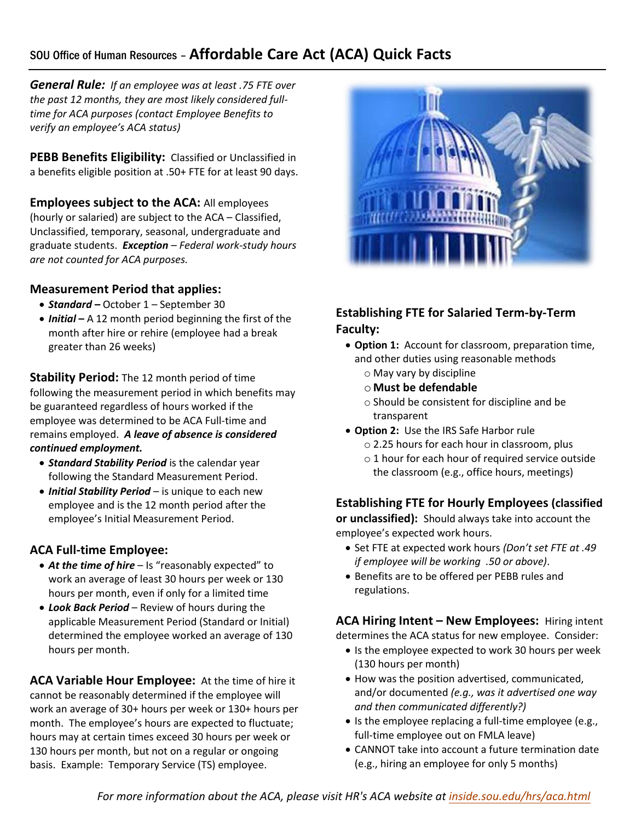# SOU Office of Human Resources – **Affordable Care Act (ACA) Quick Facts**

*General Rule:**If an employee was at least .75 FTE over the past 12 months, they are most likely considered fulltime for ACA purposes (contact Employee Benefits to verify an employee's ACA status)*

**PEBB Benefits Eligibility:** Classified or Unclassified in a benefits eligible position at .50+ FTE for at least 90 days.

**Employees subject to the ACA:** All employees (hourly or salaried) are subject to the ACA – Classified, Unclassified, temporary, seasonal, undergraduate and graduate students. *Exception – Federal work-study hours are not counted for ACA purposes.* 

#### **Measurement Period that applies:**

- *Standard –* October 1 September 30
- *Initial* **–** A 12 month period beginning the first of the month after hire or rehire (employee had a break greater than 26 weeks)

**Stability Period:** The 12 month period of time following the measurement period in which benefits may be guaranteed regardless of hours worked if the employee was determined to be ACA Full-time and remains employed. *A leave of absence is considered continued employment.* 

- *Standard Stability Period* is the calendar year following the Standard Measurement Period.
- *Initial Stability Period* is unique to each new employee and is the 12 month period after the employee's Initial Measurement Period.

### **ACA Full-time Employee:**

- At the time of hire Is "reasonably expected" to work an average of least 30 hours per week or 130 hours per month, even if only for a limited time
- *Look Back Period*  Review of hours during the applicable Measurement Period (Standard or Initial) determined the employee worked an average of 130 hours per month.

**ACA Variable Hour Employee:** At the time of hire it cannot be reasonably determined if the employee will work an average of 30+ hours per week or 130+ hours per month. The employee's hours are expected to fluctuate; hours may at certain times exceed 30 hours per week or 130 hours per month, but not on a regular or ongoing basis. Example: Temporary Service (TS) employee.



## **Establishing FTE for Salaried Term-by-Term Faculty:**

- **Option 1:** Account for classroom, preparation time, and other duties using reasonable methods
	- o May vary by discipline
	- o **Must be defendable**
	- o Should be consistent for discipline and be transparent
- **Option 2:** Use the IRS Safe Harbor rule
	- o 2.25 hours for each hour in classroom, plus
	- o 1 hour for each hour of required service outside the classroom (e.g., office hours, meetings)

### **Establishing FTE for Hourly Employees (classified**

**or unclassified):** Should always take into account the employee's expected work hours.

- Set FTE at expected work hours *(Don't set FTE at .49 if employee will be working .50 or above)*.
- Benefits are to be offered per PEBB rules and regulations.

**ACA Hiring Intent – New Employees:** Hiring intent determines the ACA status for new employee. Consider:

- Is the employee expected to work 30 hours per week (130 hours per month)
- How was the position advertised, communicated, and/or documented *(e.g., was it advertised one way and then communicated differently?)*
- Is the employee replacing a full-time employee (e.g., full-time employee out on FMLA leave)
- CANNOT take into account a future termination date (e.g., hiring an employee for only 5 months)

For more information about the ACA, please visit HR's ACA website at *[inside.sou.edu/hrs/aca.html](https://inside.sou.edu/hrs/aca.html)*